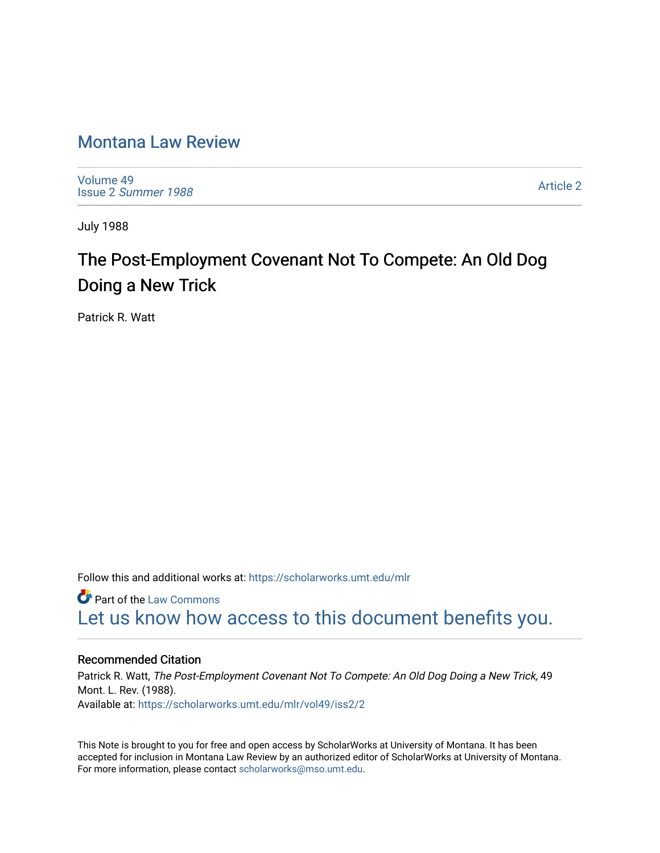# [Montana Law Review](https://scholarworks.umt.edu/mlr)

[Volume 49](https://scholarworks.umt.edu/mlr/vol49) Issue 2 [Summer 1988](https://scholarworks.umt.edu/mlr/vol49/iss2) 

[Article 2](https://scholarworks.umt.edu/mlr/vol49/iss2/2) 

July 1988

# The Post-Employment Covenant Not To Compete: An Old Dog Doing a New Trick

Patrick R. Watt

Follow this and additional works at: [https://scholarworks.umt.edu/mlr](https://scholarworks.umt.edu/mlr?utm_source=scholarworks.umt.edu%2Fmlr%2Fvol49%2Fiss2%2F2&utm_medium=PDF&utm_campaign=PDFCoverPages) 

**Part of the [Law Commons](http://network.bepress.com/hgg/discipline/578?utm_source=scholarworks.umt.edu%2Fmlr%2Fvol49%2Fiss2%2F2&utm_medium=PDF&utm_campaign=PDFCoverPages)** [Let us know how access to this document benefits you.](https://goo.gl/forms/s2rGfXOLzz71qgsB2) 

### Recommended Citation

Patrick R. Watt, The Post-Employment Covenant Not To Compete: An Old Dog Doing a New Trick, 49 Mont. L. Rev. (1988). Available at: [https://scholarworks.umt.edu/mlr/vol49/iss2/2](https://scholarworks.umt.edu/mlr/vol49/iss2/2?utm_source=scholarworks.umt.edu%2Fmlr%2Fvol49%2Fiss2%2F2&utm_medium=PDF&utm_campaign=PDFCoverPages) 

This Note is brought to you for free and open access by ScholarWorks at University of Montana. It has been accepted for inclusion in Montana Law Review by an authorized editor of ScholarWorks at University of Montana. For more information, please contact [scholarworks@mso.umt.edu.](mailto:scholarworks@mso.umt.edu)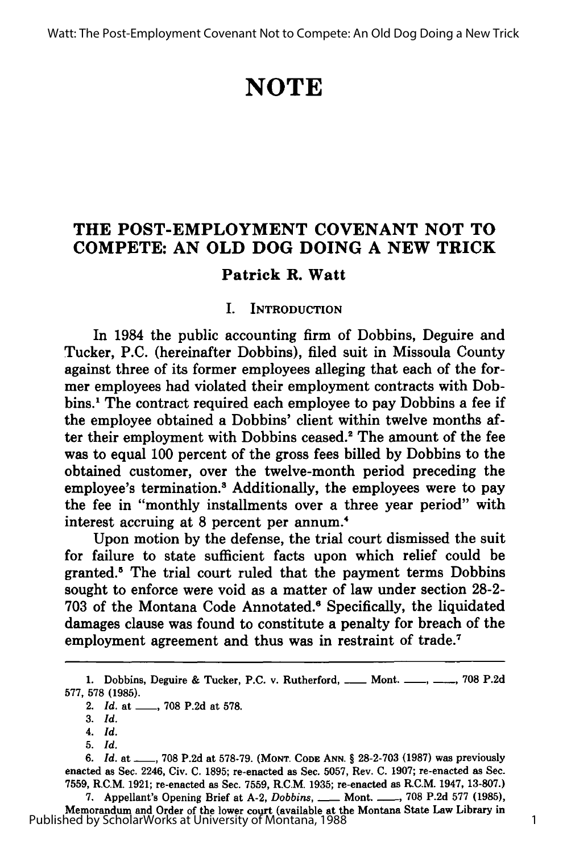# **NOTE**

## **THE POST-EMPLOYMENT COVENANT NOT TO COMPETE: AN OLD DOG DOING A NEW TRICK**

## **Patrick R. Watt**

### **I. INTRODUCTION**

In 1984 the public accounting firm of Dobbins, Deguire and Tucker, **P.C.** (hereinafter Dobbins), filed suit in Missoula County against three of its former employees alleging that each of the former employees had violated their employment contracts with Dobbins.1 The contract required each employee to pay Dobbins a fee if the employee obtained a Dobbins' client within twelve months after their employment with Dobbins ceased.<sup>2</sup> The amount of the fee was to equal **100** percent of the gross fees billed **by** Dobbins to the obtained customer, over the twelve-month period preceding the employee's termination.<sup>8</sup> Additionally, the employees were to pay the fee in "monthly installments over a three year period" with interest accruing at **8** percent per annum.4

Upon motion by the defense, the trial court dismissed the suit for failure to state sufficient facts upon which relief could be granted.<sup>5</sup> The trial court ruled that the payment terms Dobbins sought to enforce were void as a matter of law under section 28-2- 703 of the Montana Code Annotated.6 Specifically, the liquidated damages clause was found to constitute a penalty for breach of the employment agreement and thus was in restraint of trade.<sup>7</sup>

7. **Appellant's Opening Brief at A-2,** *Dobbins***, \_\_\_ Mont. \_\_\_, 708 P.2d 577 (1985),** Memorandum and Order of the lower court (available at the Montana State Law Library in Published by ScholarWorks at University of Montana, 1988

<sup>1.</sup> Dobbins, Deguire & Tucker, P.C. v. Rutherford, ....... Mont. ......., ......., 708 P.2d 577, 578 (1985).

<sup>2.</sup> *Id.* at , 708 **P.2d** at 578.

**<sup>3.</sup>** *Id.*

*<sup>4.</sup> Id.*

**<sup>5.</sup>** *Id.*

*<sup>6.</sup> Id.* at **-, 708 P.2d** at **578-79. (MONT. CODE ANN.** § **28-2-703 (1987)** was previously enacted as Sec. 2246, Civ. **C. 1895;** re-enacted as Sec. **5057,** Rev. **C. 1907;** re-enacted as Sec. **7559,** R.C.M. **1921;** re-enacted as Sec. **7559,** R.C.M. **1935;** re-enacted as R.C.M. 1947, **13-807.)**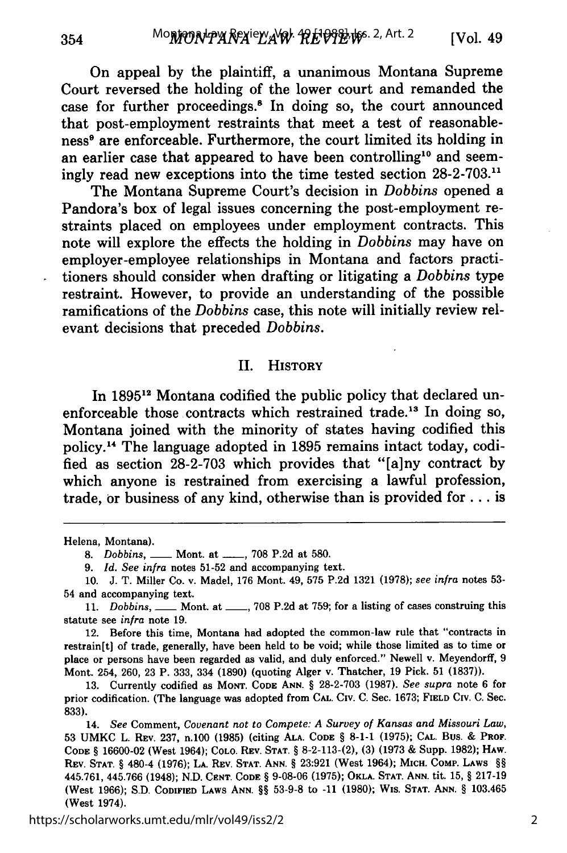On appeal **by** the plaintiff, a unanimous Montana Supreme Court reversed the holding of the lower court and remanded the case for further proceedings.<sup>8</sup> In doing so, the court announced that post-employment restraints that meet a test of reasonableness<sup>®</sup> are enforceable. Furthermore, the court limited its holding in an earlier case that appeared to have been controlling<sup>10</sup> and seemingly read new exceptions into the time tested section **28-2-703."**

The Montana Supreme Court's decision in *Dobbins* opened a Pandora's box of legal issues concerning the post-employment restraints placed on employees under employment contracts. This note will explore the effects the holding in *Dobbins* may have on employer-employee relationships in Montana and factors practitioners should consider when drafting or litigating a *Dobbins* type restraint. However, to provide an understanding of the possible ramifications of the *Dobbins* case, this note will initially review relevant decisions that preceded *Dobbins.*

#### II. HISTORY

In **18951"** Montana codified the public policy that declared unenforceable those contracts which restrained trade.<sup>13</sup> In doing so, Montana joined with the minority of states having codified this policy.'4 The language adopted in **1895** remains intact today, codified as section **28-2-703** which provides that "[a]ny contract **by** which anyone is restrained from exercising a lawful profession, trade, or business of any kind, otherwise than is provided **for..,** is

Helena, Montana).

12. Before this time, Montana had adopted the common-law rule that "contracts in restrain[t] of trade, generally, have been held to be void; while those limited as to time or place or persons have been regarded as valid, and duly enforced." Newell v. Meyendorff, **9** Mont. 254, **260, 23** P. **333,** 334 **(1890)** (quoting Alger v. Thatcher, **19** Pick. **51 (1837)).**

https://scholarworks.umt.edu/mlr/vol49/iss2/2

**<sup>8.</sup>** Dobbins, **-** Mont. at **\_\_, 708 P.2d** at **580.**

**<sup>9.</sup>** *Id. See infra* notes **51-52** and accompanying text.

**<sup>10.</sup> J.** T. Miller Co. v. Madel, **176** Mont. 49, **575 P.2d 1321 (1978);** *see infra* notes **53-** 54 and accompanying text.

**<sup>11.</sup>** *Dobbins,* **-** Mont. at **\_\_, 708 P.2d** at **759;** for a listing of cases construing this statute see *infra* note **19.**

**<sup>13.</sup>** Currently codified as **MONT. CODE ANN. § 28-2-703 (1987).** *See supra* note **6** for prior codification. (The language was adopted from **CAL.** Civ. **C.** Sec. **1673; FIELD** Civ. **C.** Sec. **833).**

<sup>14.</sup> *See* Comment, *Covenant not to Compete: A Survey of Kansas and Missouri Law,* **53 UMKC** L. **REV. 237,** n.100 **(1985)** (citing **ALA. CODE § 8-1-1 (1975); CAL.** Bus. **& PROF. CODE § 16600-02** (West 1964); COLO. **REV. STAT. § 8-2-113-(2), (3) (1973 &** Supp. **1982);** HAW. **REV. STAT. §** 480-4 **(1976); LA. REV. STAT. ANN. § 23:921** (West 1964); **MICH. COMp. LAWS §§** 445.761, 445.766 (1948); **N.D. CENT. CODE § 9-08-06 (1975); OKLA. STAT. ANN.** tit. **15, § 217-19** (West **1966); S.D. CODIFIED LAWS ANN. §§ 53-9-8** to **-11 (1980);** WIS. **STAT. ANN. §** 103.465 (West 1974).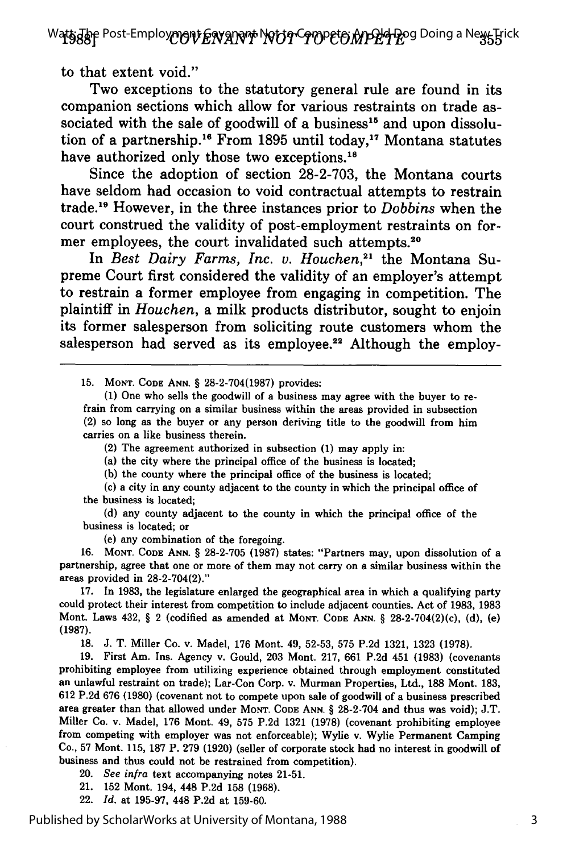Wa**ts:Jo**p Post-Employ**mgnt Envant Not to Compete: An Old O**lang a New Trick

to that extent void."

Two exceptions to the statutory general rule are found in its companion sections which allow for various restraints on trade associated with the sale of goodwill of a business $15$  and upon dissolution of a partnership.<sup>16</sup> From 1895 until today,<sup>17</sup> Montana statutes have authorized only those two exceptions.<sup>18</sup>

Since the adoption of section **28-2-703,** the Montana courts have seldom had occasion to void contractual attempts to restrain trade. 9 However, in the three instances prior to *Dobbins* when the court construed the validity of post-employment restraints on former employees, the court invalidated such attempts.<sup>20</sup>

In *Best Dairy Farms, Inc. v. Houchen*,<sup>21</sup> the Montana Supreme Court first considered the validity of an employer's attempt to restrain a former employee from engaging in competition. The plaintiff in *Houchen,* a milk products distributor, sought to enjoin its former salesperson from soliciting route customers whom the salesperson had served as its employee.<sup>22</sup> Although the employ-

**15. MONT. CODE ANN.** § **28-2-704(1987)** provides:

**(1)** One who sells the goodwill of a business may agree with the buyer to refrain from carrying on a similar business within the areas provided in subsection (2) so long as the buyer or any person deriving title to the goodwill from him carries on a like business therein.

(2) The agreement authorized in subsection **(1)** may apply in:

(a) the city where the principal office of the business is located;

(b) the county where the principal office of the business is located;

(c) a city in any county adjacent to the county in which the principal office of the business is located;

(d) any county adjacent to the county in which the principal office of the business is located; or

(e) any combination of the foregoing.

16. **MONT. CODE ANN.** § 28-2-705 (1987) states: "Partners may, upon dissolution of a partnership, agree that one or more of them may not carry on a similar business within the areas provided in **28-2-704(2)."**

**17.** In **1983,** the legislature enlarged the geographical area in which a qualifying party could protect their interest from competition to include adjacent counties. Act of **1983, 1983** Mont. Laws 432, § 2 (codified as amended at MONT. **CODE ANN.** § 28-2-704(2)(c), **(d),** (e) **(1987).**

**18. J. T.** Miller Co. **v.** Madel, **176** Mont. 49, **52-53, 575 P.2d 1321, 1323 (1978).**

**19.** First Am. Ins. Agency v. Gould, **203** Mont. **217, 661 P.2d** 451 **(1983)** (covenants prohibiting employee from utilizing experience obtained through employment constituted an unlawful restraint on trade); Lar-Con Corp. v. Murman Properties, Ltd., **188** Mont. **183, 612 P.2d 676 (1980)** (covenant not to compete upon sale of goodwill of a business prescribed area greater than that allowed under MONT. **CODE ANN.** § **28-2-704** and thus was void); **J.T.** Miller Co. v. Madel, **176** Mont. 49, **575 P.2d 1321 (1978)** (covenant prohibiting employee from competing with employer was not enforceable); Wylie v. Wylie Permanent Camping Co., **57** Mont. **115, 187** P. **279 (1920)** (seller of corporate stock had no interest in goodwill of business and thus could not be restrained from competition).

20. *See infra* text accompanying notes 21-51.

21. **152** Mont. 194, 448 **P.2d 158 (1968).**

22. *Id.* at **195-97,** 448 **P.2d** at **159-60.**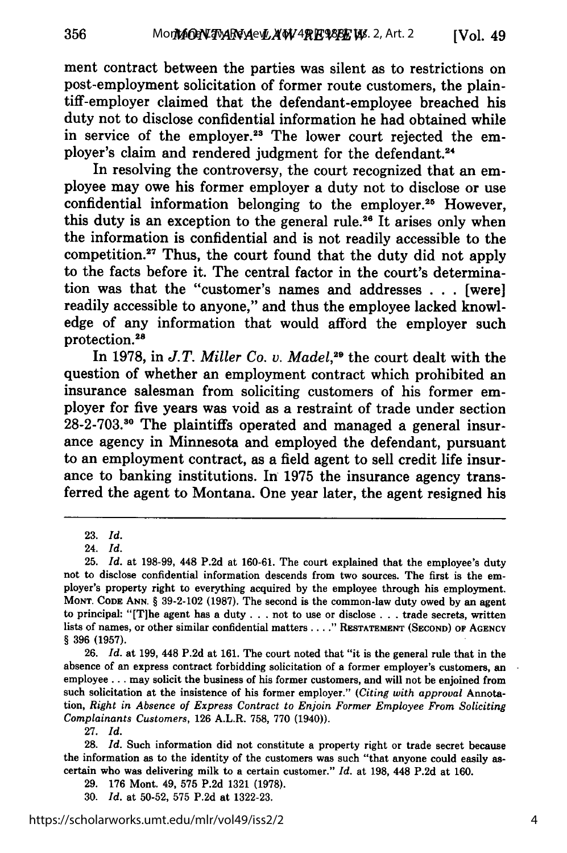ment contract between the parties was silent as to restrictions on post-employment solicitation of former route customers, the plaintiff-employer claimed that the defendant-employee breached his duty not to disclose confidential information he had obtained while in service of the employer.<sup>23</sup> The lower court rejected the employer's claim and rendered judgment for the defendant.<sup>24</sup>

In resolving the controversy, the court recognized that an employee may owe his former employer a duty not to disclose or use confidential information belonging to the employer.25 However, this duty is an exception to the general rule.<sup>26</sup> It arises only when the information is confidential and is not readily accessible to the competition.<sup>27</sup> Thus, the court found that the duty did not apply to the facts before it. The central factor in the court's determination was that the "customer's names and addresses . . . [were] readily accessible to anyone," and thus the employee lacked knowledge of any information that would afford the employer such protection.<sup>28</sup>

In 1978, in *J.T. Miller Co. v. Madel,29* the court dealt with the question of whether an employment contract which prohibited an insurance salesman from soliciting customers of his former employer for five years was void as a restraint of trade under section **28-2-703.30** The plaintiffs operated and managed a general insurance agency in Minnesota and employed the defendant, pursuant to an employment contract, as a field agent to sell credit life insurance to banking institutions. In **1975** the insurance agency transferred the agent to Montana. One year later, the agent resigned his

356

**26.** *Id.* at **199,** 448 **P.2d** at **161.** The court noted that "it is the general rule that in the absence of an express contract forbidding solicitation of a former employer's customers, an employee **...** may solicit the business of his former customers, and will not be enjoined from such solicitation at the insistence of his former employer." *(Citing with approval* Annotation, *Right in Absence of Express Contract to Enjoin Former Employee From Soliciting Complainants Customers,* **126** A.L.R. **758, 770** (1940)).

**<sup>23.</sup>** *Id.*

<sup>24.</sup> *Id.*

**<sup>25.</sup>** *Id.* at **198-99,** 448 **P.2d** at **160-61.** The court explained that the employee's duty not to disclose confidential information descends from two sources. The first is the employer's property right to everything acquired **by** the employee through his employment. **MONT. CODE ANN.** § **39-2-102 (1987).** The second is the common-law duty owed **by** an agent to principal: "[Tihe agent has a duty **...** not to use or disclose **. . .** trade secrets, written lists of names, or other similar confidential matters **.... " RESTATEMENT (SECOND) OF AGENCY** § **396 (1957).**

**<sup>27.</sup>** *Id.*

**<sup>28.</sup>** *Id.* Such information did not constitute a property right or trade secret because the information as to the identity of the customers was such "that anyone could easily ascertain who was delivering milk to a certain customer." *Id.* at **198,** 448 **P.2d** at **160.**

**<sup>29. 176</sup>** Mont. 49, **575 P.2d 1321 (1978).**

**<sup>30.</sup>** *Id.* at **50-52, 575 P.2d** at **1322-23.**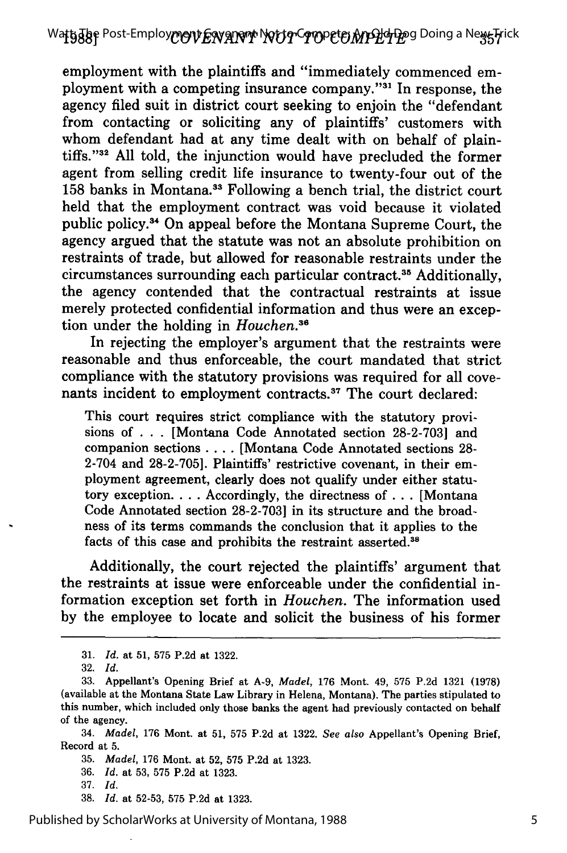employment with the plaintiffs and "immediately commenced employment with a competing insurance company."<sup>31</sup> In response, the agency filed suit in district court seeking to enjoin the "defendant from contacting or soliciting any of plaintiffs' customers with whom defendant had at any time dealt with on behalf of plaintiffs. '32 All told, the injunction would have precluded the former agent from selling credit life insurance to twenty-four out of the 158 banks in Montana.<sup>33</sup> Following a bench trial, the district court held that the employment contract was void because it violated public policy." On appeal before the Montana Supreme Court, the agency argued that the statute was not an absolute prohibition on restraints of trade, but allowed for reasonable restraints under the circumstances surrounding each particular contract.35 Additionally, the agency contended that the contractual restraints at issue merely protected confidential information and thus were an exception under the holding in *Houchen <sup>6</sup>*

In rejecting the employer's argument that the restraints were reasonable and thus enforceable, the court mandated that strict compliance with the statutory provisions was required for all covenants incident to employment contracts.<sup>37</sup> The court declared:

This court requires strict compliance with the statutory provisions of ... [Montana Code Annotated section 28-2-703] and companion sections .... [Montana Code Annotated sections 28- 2-704 and 28-2-705]. Plaintiffs' restrictive covenant, in their employment agreement, clearly does not qualify under either statutory exception **....** Accordingly, the directness of ... [Montana Code Annotated section 28-2-703] in its structure and the broadness of its terms commands the conclusion that it applies to the facts of this case and prohibits the restraint asserted.<sup>38</sup>

Additionally, the court rejected the plaintiffs' argument that the restraints at issue were enforceable under the confidential information exception set forth in *Houchen.* The information used by the employee to locate and solicit the business of his former

34. *Madel,* 176 Mont. at 51, 575 P.2d at 1322. *See also* Appellant's Opening Brief, Record at 5.

35. *Madel,* 176 Mont. at 52, 575 P.2d at 1323.

- 36. *Id.* at 53, 575 P.2d at 1323.
- 37. *Id.*
- 38. *Id.* at 52-53, 575 P.2d at 1323.

<sup>31.</sup> *Id.* at 51, 575 P.2d at 1322.

<sup>32.</sup> *Id.*

<sup>33.</sup> Appellant's Opening Brief at A-9, *Madel,* 176 Mont. 49, 575 P.2d 1321 (1978) (available at the Montana State Law Library in Helena, Montana). The parties stipulated to this number, which included only those banks the agent had previously contacted on behalf of the agency.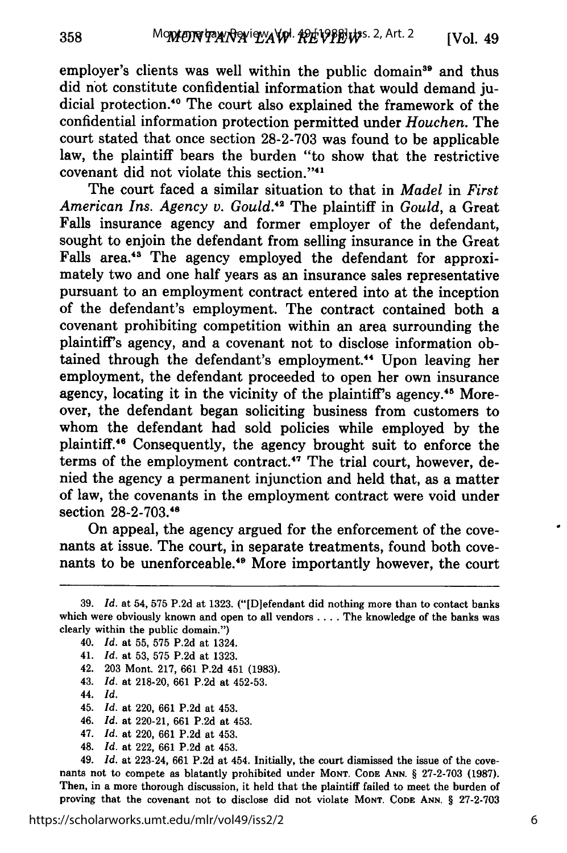employer's clients was well within the public domain<sup>39</sup> and thus did not constitute confidential information that would demand judicial protection.<sup>40</sup> The court also explained the framework of the confidential information protection permitted under *Houchen.* The court stated that once section 28-2-703 was found to be applicable law, the plaintiff bears the burden "to show that the restrictive covenant did not violate this section. '41

The court faced a similar situation to that in *Madel* in *First American Ins. Agency v. Gould.42* The plaintiff in *Gould,* a Great Falls insurance agency and former employer of the defendant, sought to enjoin the defendant from selling insurance in the Great Falls area.<sup>43</sup> The agency employed the defendant for approximately two and one half years as an insurance sales representative pursuant to an employment contract entered into at the inception of the defendant's employment. The contract contained both a covenant prohibiting competition within an area surrounding the plaintiff's agency, and a covenant not to disclose information obtained through the defendant's employment.<sup>44</sup> Upon leaving her employment, the defendant proceeded to open her own insurance agency, locating it in the vicinity of the plaintiff's agency.<sup>45</sup> Moreover, the defendant began soliciting business from customers to whom the defendant had sold policies while employed by the plaintiff.<sup>46</sup> Consequently, the agency brought suit to enforce the terms of the employment contract.<sup>47</sup> The trial court, however, denied the agency a permanent injunction and held that, as a matter of law, the covenants in the employment contract were void under section 28-2-703.48

On appeal, the agency argued for the enforcement of the covenants at issue. The court, in separate treatments, found both covenants to be unenforceable.<sup>49</sup> More importantly however, the court

41. *Id.* at 53, 575 P.2d at 1323.

42. 203 Mont. 217, 661 P.2d 451 (1983).

43. *Id.* at 218-20, 661 P.2d at 452-53.

44. *Id.*

45. *Id.* at 220, 661 P.2d at 453.

46. *Id.* at 220-21, 661 P.2d at 453.

- 47. *Id.* at 220, 661 P.2d at 453.
- 48. *Id.* at 222, 661 P.2d at 453.

49. *Id.* at 223-24, **661 P.2d** at 454. Initially, the court dismissed the issue of the cove- nants not to compete as blatantly prohibited under **MONT. CODE ANN.** § 27-2-703 (1987). Then, in a more thorough discussion, it held that the plaintiff failed to meet the burden of proving that the covenant not to disclose did not violate **MONT. CODE ANN.** § 27-2-703

https://scholarworks.umt.edu/mlr/vol49/iss2/2

**<sup>39.</sup>** *Id.* at 54, 575 **P.2d** at 1323. ("[D]efendant did nothing more than to contact banks which were obviously known and open to all vendors .... The knowledge of the banks was clearly within the public domain.")

<sup>40.</sup> *Id.* at 55, 575 P.2d at 1324.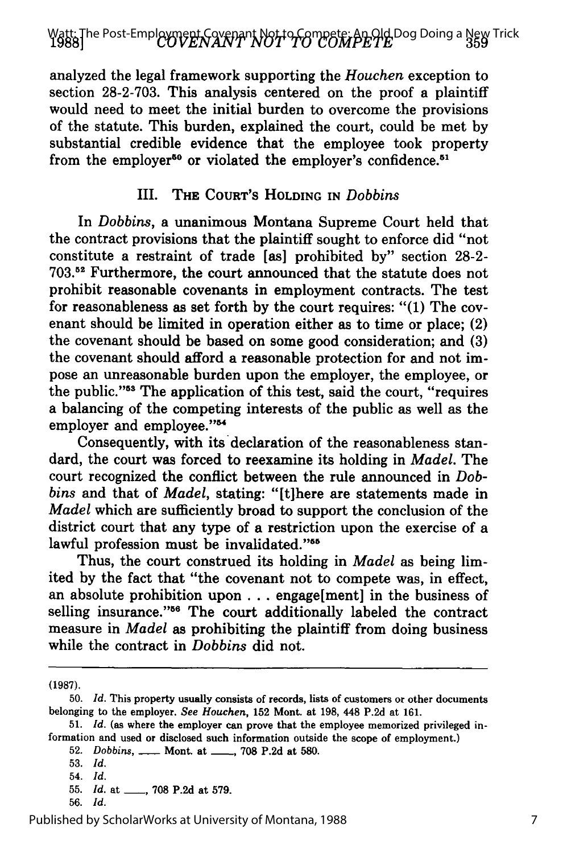# Watt: The Post-Emplo**yment Covenant Not to Compete: An Old** Dog Doing a New Trick<br>**1988]**

analyzed the legal framework supporting the *Houchen* exception to section 28-2-703. This analysis centered on the proof a plaintiff would need to meet the initial burden to overcome the provisions of the statute. This burden, explained the court, could be met by substantial credible evidence that the employee took property from the employer<sup>50</sup> or violated the employer's confidence.<sup>51</sup>

### III. **THE COURT'S HOLDING IN** *Dobbins*

In *Dobbins,* a unanimous Montana Supreme Court held that the contract provisions that the plaintiff sought to enforce did "not constitute a restraint of trade [as] prohibited **by"** section **28-2- 703.52** Furthermore, the court announced that the statute does not prohibit reasonable covenants in employment contracts. The test for reasonableness as set forth **by** the court requires: **"(1)** The covenant should be limited in operation either as to time or place; (2) the covenant should be based on some good consideration; and **(3)** the covenant should afford a reasonable protection for and not impose an unreasonable burden upon the employer, the employee, or the public."<sup>53</sup> The application of this test, said the court, "requires a balancing of the competing interests of the public as well as the employer and employee."<sup>54</sup>

Consequently, with its'declaration of the reasonableness standard, the court was forced to reexamine its holding in *Madel.* The court recognized the conflict between the rule announced in *Dobbins* and that of *Madel,* stating: "[t]here are statements made in *Madel* which are sufficiently broad to support the conclusion of the district court that any type of a restriction upon the exercise of a lawful profession must be invalidated."<sup>55</sup>

Thus, the court construed its holding in *Madel* as being limited **by** the fact that "the covenant not to compete was, in effect, an absolute prohibition upon **...** engage[ment] in the business of selling insurance."<sup>56</sup> The court additionally labeled the contract measure in *Madel* as prohibiting the plaintiff from doing business while the contract in *Dobbins* did not.

**(1987).**

52. Dobbins, \_\_\_\_ Mont. at \_\_\_\_, 708 P.2d at 580.

54. *Id.*

<sup>50.</sup> *Id.* This property usually consists of records, lists of customers or other documents belonging to the employer. *See Houchen,* 152 Mont. at 198, 448 P.2d at 161.

<sup>51.</sup> *Id.* (as where the employer can prove that the employee memorized privileged information and used or disclosed such information outside the scope of employment.)

<sup>53.</sup> *Id.*

<sup>55.</sup> *Id.* at \_\_, 708 P.2d at 579.

<sup>56.</sup> *Id.*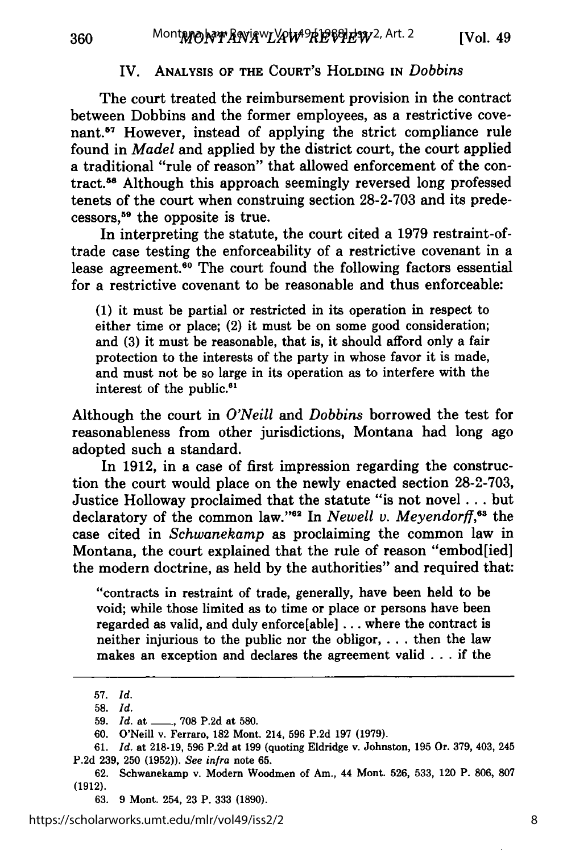### IV. ANALYSIS OF THE COURT'S **HOLDING** IN *Dobbins*

The court treated the reimbursement provision in the contract between Dobbins and the former employees, as a restrictive covenant.<sup>57</sup> However, instead of applying the strict compliance rule found in *Madel* and applied **by** the district court, the court applied a traditional "rule of reason" that allowed enforcement of the contract.58 Although this approach seemingly reversed long professed tenets of the court when construing section **28-2-703** and its predecessors," the opposite is true.

In interpreting the statute, the court cited a **1979** restraint-oftrade case testing the enforceability of a restrictive covenant in a lease agreement.<sup>60</sup> The court found the following factors essential for a restrictive covenant to be reasonable and thus enforceable:

**(1)** it must be partial or restricted in its operation in respect to either time or place; (2) it must be on some good consideration; and **(3)** it must be reasonable, that is, it should afford only a fair protection to the interests of the party in whose favor it is made, and must not be so large in its operation as to interfere with the interest of the public.<sup>61</sup>

Although the court in *O'Neill and Dobbins* borrowed the test for reasonableness from other jurisdictions, Montana had long ago adopted such a standard.

In **1912,** in a case of first impression regarding the construction the court would place on the newly enacted section **28-2-703,** Justice Holloway proclaimed that the statute "is not novel **...** but declaratory of the common law."<sup>62</sup> In *Newell v. Meyendorff*,<sup>68</sup> the case cited in *Schwanekamp* as proclaiming the common law in Montana, the court explained that the rule of reason "embod[ied] the modern doctrine, as held **by** the authorities" and required that:

"contracts in restraint of trade, generally, have been held to be void; while those limited as to time or place or persons have been regarded as valid, and duly enforce[able] **...** where the contract is neither injurious to the public nor the obligor, **. . .** then the law makes an exception and declares the agreement valid **. . .** if the

360

**<sup>57.</sup>** *Id.*

**<sup>58.</sup>** *Id.*

**<sup>59.</sup>** *Id.* at **-, 708 P.2d** at **580.**

**<sup>60.</sup>** O'Neill v. Ferraro, **182** Mont. 214, **596 P.2d 197 (1979).**

**<sup>61.</sup>** *Id.* at **218-19, 596 P.2d** at **199** (quoting Eldridge v. Johnston, **195** Or. **379,** 403, 245 **P.2d 239, 250 (1952)).** *See infra* note **65.**

**<sup>62.</sup>** Schwanekamp v. Modern Woodmen of Am., 44 Mont. **526, 533,** 120 P. **806, 807 (1912).**

**<sup>63.</sup>** 9 Mont. 254, **23** P. **333** (1890).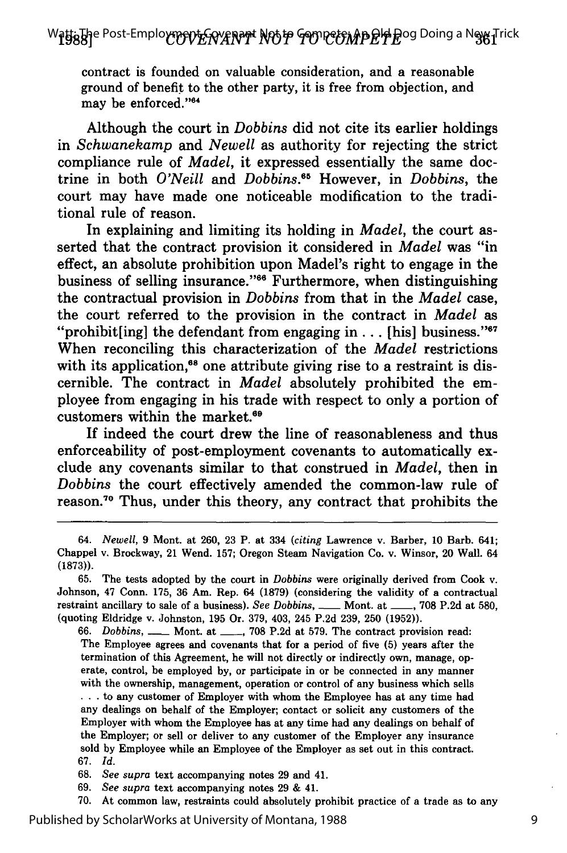contract is founded on valuable consideration, and a reasonable ground of benefit to the other party, it is free from objection, and may be enforced."<sup>64</sup>

Although the court in *Dobbins* did not cite its earlier holdings in *Schwanekamp* and *Newell* as authority for rejecting the strict compliance rule of *Madel,* it expressed essentially the same doctrine in both *O'Neill and Dobbins.6* However, in *Dobbins,* the court may have made one noticeable modification to the traditional rule of reason.

In explaining and limiting its holding in *Madel,* the court asserted that the contract provision it considered in *Madel* was "in effect, an absolute prohibition upon Madel's right to engage in the business of selling insurance."<sup>66</sup> Furthermore, when distinguishing the contractual provision in *Dobbins* from that in the *Madel* case, the court referred to the provision in the contract in *Madel* as "prohibit[ing] the defendant from engaging in  $\ldots$  [his] business."<sup>67</sup> When reconciling this characterization of the *Madel* restrictions with its application, $68$  one attribute giving rise to a restraint is discernible. The contract in *Madel* absolutely prohibited the employee from engaging in his trade with respect to only a portion of customers within the market.69

If indeed the court drew the line of reasonableness and thus enforceability of post-employment covenants to automatically exclude any covenants similar to that construed in *Madel,* then in *Dobbins* the court effectively amended the common-law rule of reason.<sup>70</sup> Thus, under this theory, any contract that prohibits the

**66.** Dobbins, **-** Mont. at **- , 708 P.2d** at **579.** The contract provision read: The Employee agrees and covenants that for a period of five **(5)** years after the termination of this Agreement, he will not directly or indirectly own, manage, operate, control, be employed **by,** or participate in or be connected in any manner with the ownership, management, operation or control of any business which sells **.. .** to any customer of Employer with whom the Employee has at any time had any dealings on behalf of the Employer; contact or solicit any customers of the Employer with whom the Employee has at any time had any dealings on behalf of the Employer; or sell or deliver to any customer of the Employer any insurance sold **by** Employee while an Employee of the Employer as set out in this contract. **67.** *Id.*

**68.** *See supra* text accompanying notes **29** and 41.

**69.** *See supra* text accompanying notes **29 &** 41.

*<sup>64.</sup> Newell,* **9** Mont. at **260, 23** P. at 334 *(citing* Lawrence v. Barber, **10** Barb. 641; Chappel v. Brockway, 21 Wend. **157;** Oregon Steam Navigation Co. v. Winsor, 20 Wall. 64 **(1873)).**

**<sup>65.</sup>** The tests adopted **by** the court in *Dobbins* were originally derived from Cook v. Johnson, 47 Conn. **175, 36** Am. Rep. 64 **(1879)** (considering the validity of a contractual restraint ancillary to sale of a business). *See Dobbins,* **-** Mont. at **\_\_ , 708 P.2d** at **580,** (quoting Eldridge v. Johnston, **195** Or. **379,** 403, 245 **P.2d 239, 250 (1952)).**

**<sup>70.</sup>** At common law, restraints could absolutely prohibit practice of a trade as to any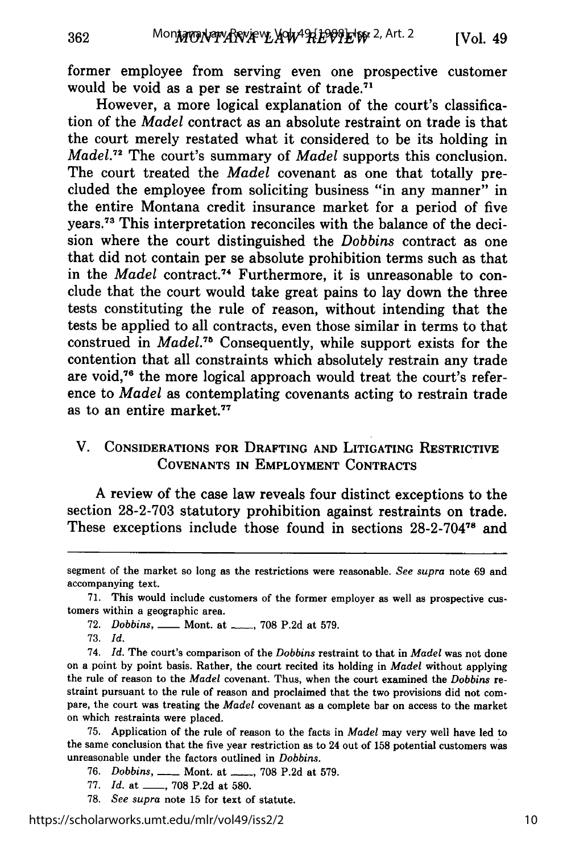former employee from serving even one prospective customer would be void as a per se restraint of trade.<sup>71</sup>

However, a more logical explanation of the court's classification of the *Madel* contract as an absolute restraint on trade is that the court merely restated what it considered to be its holding in *Made1.72* The court's summary of *Madel* supports this conclusion. The court treated the *Madel* covenant as one that totally precluded the employee from soliciting business "in any manner" in the entire Montana credit insurance market for a period of five years.<sup>73</sup> This interpretation reconciles with the balance of the decision where the court distinguished the *Dobbins* contract as one that did not contain per se absolute prohibition terms such as that in the *Madel* contract.<sup>74</sup> Furthermore, it is unreasonable to conclude that the court would take great pains to lay down the three tests constituting the rule of reason, without intending that the tests be applied to all contracts, even those similar in terms to that construed in *Madel.*<sup>75</sup> Consequently, while support exists for the contention that all constraints which absolutely restrain any trade are void,76 the more logical approach would treat the court's reference to *Madel* as contemplating covenants acting to restrain trade as to an entire market.<sup>77</sup>

### V. **CONSIDERATIONS FOR DRAFTING AND LITIGATING RESTRICTIVE COVENANTS IN** EMPLOYMENT **CONTRACTS**

A review of the case law reveals four distinct exceptions to the section **28-2-703** statutory prohibition against restraints on trade. These exceptions include those found in sections 28-2-70478 and

362

75. Application of the rule of reason to the facts in *Madel* may very well have led to the same conclusion that the five year restriction as to 24 out of 158 potential customers was unreasonable under the factors outlined in *Dobbins.*

- 76. *Dobbins,* **-** Mont. at **-** , 708 P.2d at 579.
- 77. *Id.* at \_\_\_, 708 P.2d at 580.
- 78. *See supra* note 15 for text of statute.

segment of the market so long as the restrictions were reasonable. *See supra* note 69 and accompanying text.

<sup>71.</sup> This would include customers of the former employer as well as prospective customers within a geographic area.

<sup>72.</sup> *Dobbins*, <u>**--- Mont.** at <sub>----</sub>, 708 P.2d at 579.</u>

<sup>73.</sup> *Id.*

<sup>74.</sup> *Id.* The court's comparison of the *Dobbins* restraint to that in *Madel* was not done on a point by point basis. Rather, the court recited its holding in *Madel* without applying the rule of reason to the *Madel* covenant. Thus, when the court examined the *Dobbins* restraint pursuant to the rule of reason and proclaimed that the two provisions did not compare, the court was treating the *Madel* covenant as a complete bar on access to the market on which restraints were placed.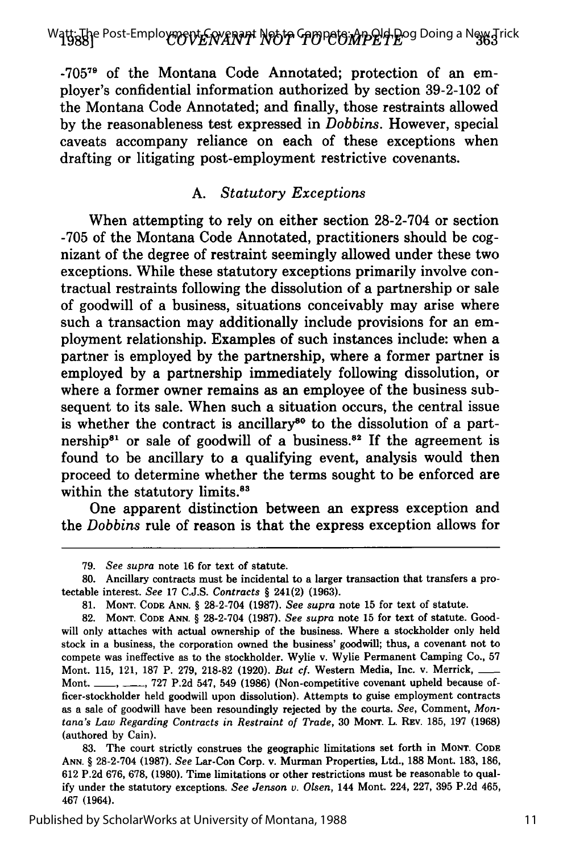Watt<sub>8</sub>Uje Post-Employment Covenant Not to Compete: An Old Doing a New Trick<br>Watt

-705 **7** of the Montana Code Annotated; protection of an employer's confidential information authorized by section 39-2-102 of the Montana Code Annotated; and finally, those restraints allowed by the reasonableness test expressed in *Dobbins.* However, special caveats accompany reliance on each of these exceptions when drafting or litigating post-employment restrictive covenants.

#### *A. Statutory Exceptions*

When attempting to rely on either section 28-2-704 or section -705 of the Montana Code Annotated, practitioners should be cognizant of the degree of restraint seemingly allowed under these two exceptions. While these statutory exceptions primarily involve contractual restraints following the dissolution of a partnership or sale of goodwill of a business, situations conceivably may arise where such a transaction may additionally include provisions for an employment relationship. Examples of such instances include: when a partner is employed by the partnership, where a former partner is employed by a partnership immediately following dissolution, or where a former owner remains as an employee of the business subsequent to its sale. When such a situation occurs, the central issue is whether the contract is ancillary<sup>80</sup> to the dissolution of a partnership<sup>81</sup> or sale of goodwill of a business.<sup>82</sup> If the agreement is found to be ancillary to a qualifying event, analysis would then proceed to determine whether the terms sought to be enforced are within the statutory limits.<sup>83</sup>

One apparent distinction between an express exception and the *Dobbins* rule of reason is that the express exception allows for

**<sup>79.</sup>** *See supra* note **16** for text of statute.

<sup>80.</sup> Ancillary contracts must be incidental to a larger transaction that transfers a protectable interest. *See* 17 C.J.S. *Contracts §* 241(2) (1963).

<sup>81.</sup> **MONT. CODE ANN.** § 28-2-704 (1987). *See supra* note 15 for text of statute.

<sup>82.</sup> **MONT. CODE ANN.** *§* 28-2-704 (1987). *See supra* note 15 for text of statute. Goodwill only attaches with actual ownership of the business. Where a stockholder only held stock in a business, the corporation owned the business' goodwill; thus, a covenant not to compete was ineffective as to the stockholder. Wylie v. Wylie Permanent Camping Co., 57 Mont. 115, 121, 187 P. 279, 218-82 (1920). *But cf.* Western Media, Inc. v. Merrick,  $-$ Mont. **-, -,** 727 P.2d 547, 549 (1986) (Non-competitive covenant upheld because officer-stockholder held goodwill upon dissolution). Attempts to guise employment contracts as a sale of goodwill have been resoundingly rejected by the courts. *See,* Comment, *Montana's Law Regarding Contracts in Restraint of Trade,* 30 **MONT.** L. **REV.** 185, 197 (1968) (authored by Cain).

<sup>83.</sup> The court strictly construes the geographic limitations set forth in **MONT. CODE ANN.** *§* 28-2-704 (1987). *See* Lar-Con Corp. v. Murman Properties, Ltd., 188 Mont. 183, 186, 612 P.2d 676, 678, (1980). Time limitations or other restrictions must be reasonable to qual**ify** under the statutory exceptions. *See Jenson v. Olsen,* 144 Mont. 224, 227, 395 P.2d 465, 467 (1964).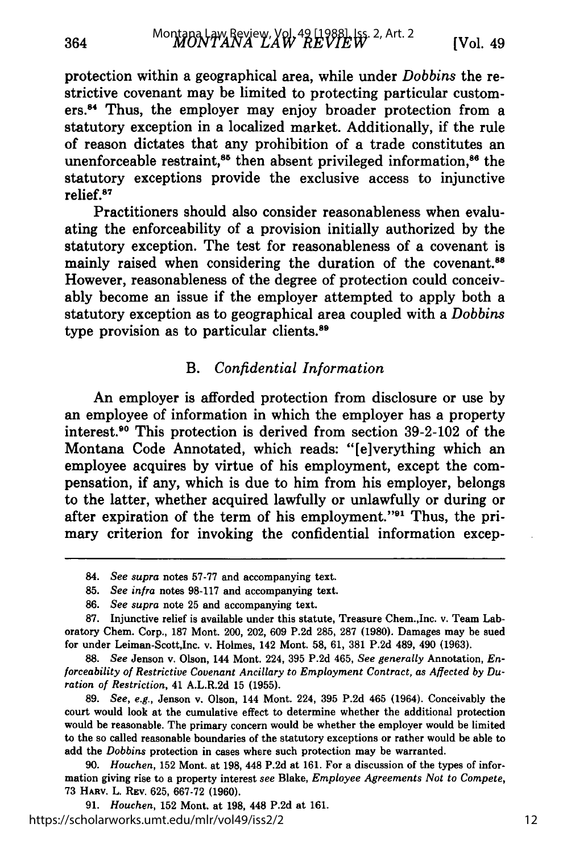protection within a geographical area, while under *Dobbins* the restrictive covenant may be limited to protecting particular customers.<sup>84</sup> Thus, the employer may enjoy broader protection from a statutory exception in a localized market. Additionally, if the rule of reason dictates that any prohibition of a trade constitutes an unenforceable restraint,<sup>85</sup> then absent privileged information,<sup>86</sup> the statutory exceptions provide the exclusive access to injunctive relief.<sup>87</sup>

Practitioners should also consider reasonableness when evaluating the enforceability of a provision initially authorized **by** the statutory exception. The test for reasonableness of a covenant is mainly raised when considering the duration of the covenant.<sup>88</sup> However, reasonableness of the degree of protection could conceivably become an issue if the employer attempted to apply both a statutory exception as to geographical area coupled with a *Dobbins* type provision as to particular clients.<sup>89</sup>

### B. *Confidential Information*

An employer is afforded protection from disclosure or use **by** an employee of information in which the employer has a property interest.<sup>90</sup> This protection is derived from section 39-2-102 of the Montana Code Annotated, which reads: "[e]verything which an employee acquires **by** virtue of his employment, except the compensation, if any, which is due to him from his employer, belongs to the latter, whether acquired lawfully or unlawfully or during or after expiration of the term of his employment." $91$  Thus, the primary criterion for invoking the confidential information excep-

**90.** *Houchen,* **152** Mont. at **198,** 448 **P.2d** at **161.** For a discussion of the types of information giving rise to a property interest *see* **Blake,** *Employee Agreements Not to Compete,* **73 HARV. L. REV. 625, 667-72 (1960).**

**91.** *Houchen,* **152 Mont. at 198, 448 P.2d at 161.** https://scholarworks.umt.edu/mlr/vol49/iss2/2

**<sup>84.</sup>** *See supra* notes **57-77** and accompanying text.

**<sup>85.</sup>** *See infra* notes **98-117** and accompanying text.

**<sup>86.</sup>** *See supra* note **25** and accompanying text.

**<sup>87.</sup>** Injunctive relief is available under this statute, Treasure Chem.,Inc. v. Team Laboratory Chem. Corp., **187** Mont. 200, 202, **609 P.2d 285, 287 (1980).** Damages may be sued for under Leiman-Scott,Inc. v. Holmes, 142 Mont. **58, 61, 381 P.2d** 489, 490 **(1963).**

**<sup>88.</sup>** *See* Jenson v. Olson, 144 Mont. 224, **395 P.2d** 465, *See generally* Annotation, *En*forceability of Restrictive Covenant Ancillary to Employment Contract, as Affected by Du*ration of Restriction,* 41 A.L.R.2d **15 (1955).**

**<sup>89.</sup>** *See, e.g.,* Jenson v. Olson, 144 Mont. 224, **395 P.2d** 465 (1964). Conceivably the court would look at the cumulative effect to determine whether the additional protection would be reasonable. The primary concern would be whether the employer would be limited to the so called reasonable boundaries of the statutory exceptions or rather would be able to add the *Dobbins* protection in cases where such protection may be warranted.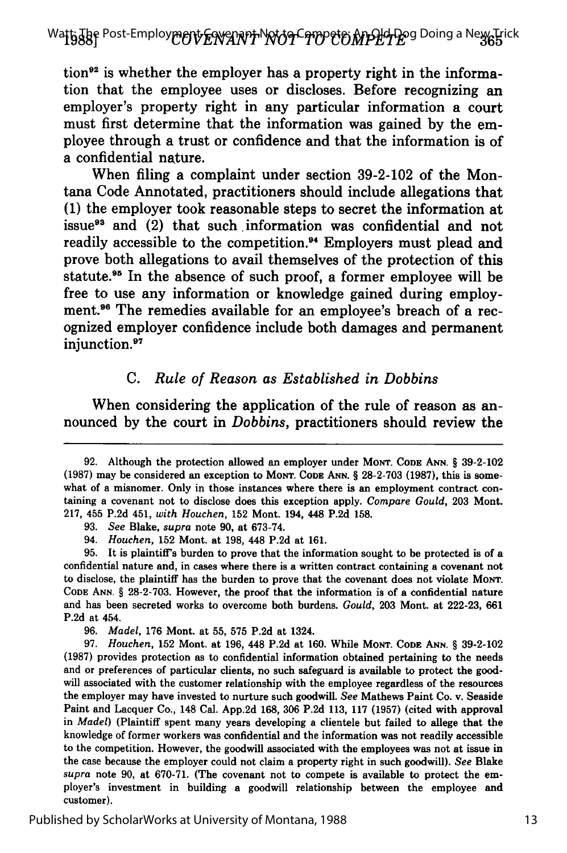Wa**ttiJ8f** Post-Employ**ment ENYANT NOT CIMPET MPLA P**og Doing a New Trick

tion<sup>92</sup> is whether the employer has a property right in the information that the employee uses or discloses. Before recognizing an employer's property right in any particular information a court must first determine that the information was gained **by** the employee through a trust or confidence and that the information is of a confidential nature.

When filing a complaint under section **39-2-102** of the Montana Code Annotated, practitioners should include allegations that **(1)** the employer took reasonable steps to secret the information at issue<sup>93</sup> and (2) that such information was confidential and not readily accessible to the competition.<sup>94</sup> Employers must plead and prove both allegations to avail themselves of the protection of this statute.<sup>95</sup> In the absence of such proof, a former employee will be free to use any information or knowledge gained during employment.<sup>96</sup> The remedies available for an employee's breach of a recognized employer confidence include both damages and permanent injunction.<sup>97</sup>

### *C. Rule of Reason as Established in Dobbins*

When considering the application of the rule of reason as announced **by** the court in *Dobbins,* practitioners should review the

**95.** It is plaintiff's burden to prove that the information sought to be protected is of a confidential nature and, in cases where there is a written contract containing a covenant not to disclose, the plaintiff has the burden to prove that the covenant does not violate MONT. **CODE ANN.** § **28-2-703.** However, the proof that the information is of a confidential nature and has been secreted works to overcome both burdens. *Gould,* **203** Mont. at **222-23, 661 P.2d** at 454.

**96.** *Madel,* **176** Mont. at **55, 575 P.2d** at 1324.

**97.** *Houchen,* **152** Mont. at **196,** 448 **P.2d** at **160.** While **MONT. CODE ANN.** § **39-2-102 (1987)** provides protection as to confidential information obtained pertaining to the needs and or preferences of particular clients, no such safeguard is available to protect the goodwill associated with the customer relationship with the employee regardless of the resources the employer may have invested to nurture such goodwill. *See* Mathews Paint Co. v. Seaside Paint and Lacquer Co., 148 Cal. **App.2d 168, 306 P.2d 113, 117 (1957)** (cited with approval in *Madel)* (Plaintiff spent many years developing a clientele but failed to allege that the knowledge of former workers was confidential and the information was not readily accessible to the competition. However, the goodwill associated with the employees was not at issue in the case because the employer could not claim a property right in such goodwill). *See* Blake *supra* note **90,** at **670-71.** (The covenant not to compete is available to protect the employer's investment in building a goodwill relationship between the employee and customer).

**<sup>92.</sup>** Although the protection allowed an employer under **MONT. CODE ANN.** § **39-2-102 (1987)** may be considered an exception to **MONT. CODE ANN.** § **28-2-703 (1987),** this is somewhat of a misnomer. Only in those instances where there is an employment contract containing a covenant not to disclose does this exception apply. *Compare Gould,* **203** Mont. **217,** 455 **P.2d** 451, *with Houchen,* **152** Mont. 194, 448 **P.2d 158.**

**<sup>93.</sup>** *See* Blake, *supra* note **90,** at **673-74.**

<sup>94.</sup> *Houchen,* **152** Mont. at **198,** 448 **P.2d** at **161.**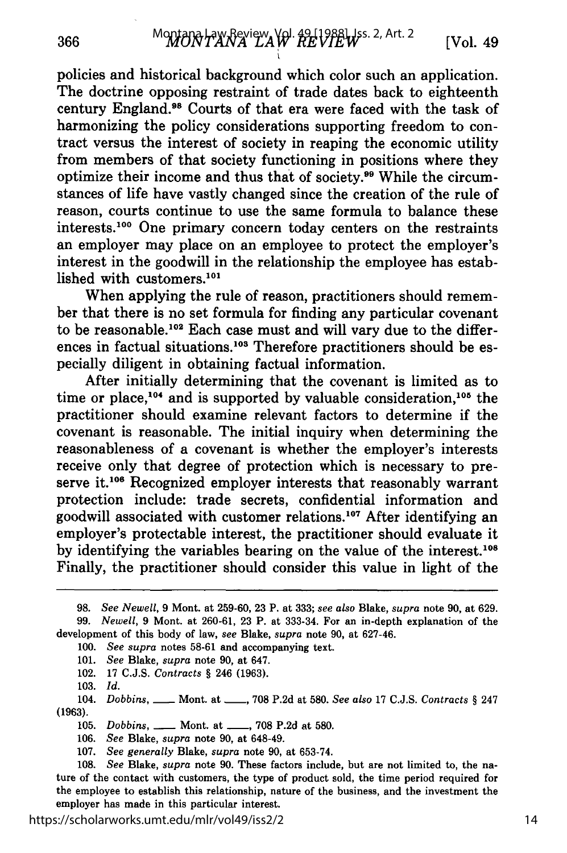policies and historical background which color such an application. The doctrine opposing restraint of trade dates back to eighteenth century England.98 Courts of that era were faced with the task of harmonizing the policy considerations supporting freedom to contract versus the interest of society in reaping the economic utility from members of that society functioning in positions where they optimize their income and thus that of society.<sup>99</sup> While the circumstances of life have vastly changed since the creation of the rule of reason, courts continue to use the same formula to balance these interests.<sup>100</sup> One primary concern today centers on the restraints an employer may place on an employee to protect the employer's interest in the goodwill in the relationship the employee has established with customers.101

When applying the rule of reason, practitioners should remember that there is no set formula for finding any particular covenant to be reasonable.<sup>102</sup> Each case must and will vary due to the differences in factual situations.<sup>103</sup> Therefore practitioners should be especially diligent in obtaining factual information.

After initially determining that the covenant is limited as to time or place,<sup>104</sup> and is supported by valuable consideration,<sup>105</sup> the practitioner should examine relevant factors to determine if the covenant is reasonable. The initial inquiry when determining the reasonableness of a covenant is whether the employer's interests receive only that degree of protection which is necessary to preserve it.<sup>106</sup> Recognized employer interests that reasonably warrant protection include: trade secrets, confidential information and goodwill associated with customer relations.<sup>107</sup> After identifying an employer's protectable interest, the practitioner should evaluate it by identifying the variables bearing on the value of the interest.<sup>108</sup> Finally, the practitioner should consider this value in light of the

100. *See supra* notes 58-61 and accompanying text.

- 101. *See* Blake, *supra* note 90, at 647.
- 102. 17 C.J.S. *Contracts §* 246 (1963).
- 103. *Id.*

104. *Dobbins,* \_\_\_ Mont. at \_\_\_, 708 P.2d at 580. See also 17 C.J.S. *Contracts* § 247 **(1963).**

105. *Dobbins,* \_\_\_\_ Mont. at \_\_\_\_, 708 P.2d at 580.

106. *See* Blake, *supra* note 90, at 648-49.

107. *See generally* Blake, *supra* note 90, at 653-74.

https://scholarworks.umt.edu/mlr/vol49/iss2/2

<sup>98.</sup> *See Newell,* 9 Mont. at 259-60, 23 P. at 333; *see also* Blake, *supra* note 90, at 629.

<sup>99.</sup> *Newell,* 9 Mont. at 260-61, 23 P. at 333-34. For an in-depth explanation of the development of this body of law, *see* Blake, *supra* note 90, at 627-46.

<sup>108.</sup> *See* Blake, *supra* note 90. These factors include, but are not limited to, the nature of the contact with customers, the type of product sold, the time period required for the employee to establish this relationship, nature of the business, and the investment the employer has made in this particular interest.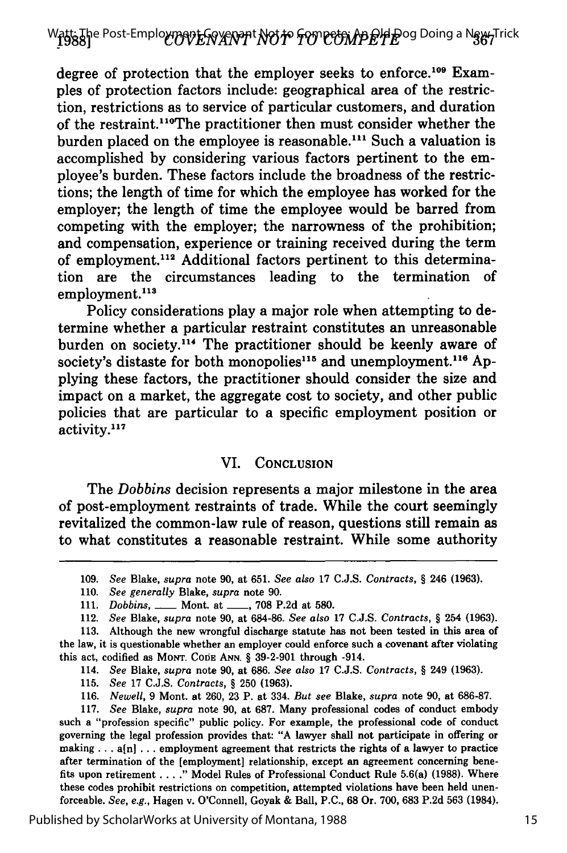degree of protection that the employer seeks to enforce.<sup>109</sup> Examples of protection factors include: geographical area of the restriction, restrictions as to service of particular customers, and duration of the restraint.<sup>110</sup>The practitioner then must consider whether the burden placed on the employee is reasonable.'11 Such a valuation is accomplished **by** considering various factors pertinent to the employee's burden. These factors include the broadness of the restrictions; the length of time for which the employee has worked for the employer; the length of time the employee would be barred from competing with the employer; the narrowness of the prohibition; and compensation, experience or training received during the term of employment.<sup>112</sup> Additional factors pertinent to this determination are the circumstances leading to the termination of employment.<sup>113</sup>

Policy considerations play a major role when attempting to determine whether a particular restraint constitutes an unreasonable burden on society.<sup>114</sup> The practitioner should be keenly aware of society's distaste for both monopolies<sup>115</sup> and unemployment.<sup>116</sup> Applying these factors, the practitioner should consider the size and impact on a market, the aggregate cost to society, and other public policies that are particular to a specific employment position or activity.<sup>117</sup>

### VI. **CONCLUSION**

The *Dobbins* decision represents a major milestone in the area of post-employment restraints of trade. While the court seemingly revitalized the common-law rule of reason, questions still remain as to what constitutes a reasonable restraint. While some authority

**109.** *See* Blake, *supra* note **90,** at **651.** *See also* **17 C.J.S.** *Contracts,* **§** 246 **(1963).**

**115.** *See* **17 C.J.S.** *Contracts,* **§ 250 (1963).**

**116.** *Newell,* **9** Mont. at **260, 23** P. at 334. *But see* Blake, *supra* note **90,** at **686-87.**

**117.** *See* Blake, *supra* note **90,** at **687.** Many professional codes of conduct embody such a "profession specific" public policy. For example, the professional code of conduct governing the legal profession provides that: **"A** lawyer shall not participate in offering or making **...** a[n] **...** employment agreement that restricts the rights of a lawyer to practice after termination of the [employment] relationship, except an agreement concerning benefits upon retirement **.... "** Model Rules of Professional Conduct Rule 5.6(a) **(1988).** Where these codes prohibit restrictions on competition, attempted violations have been held **unen**forceable. *See, e.g.,* Hagen v. O'Connell, Goyak **&** Ball, **P.C., 68** Or. **700, 683 P.2d 563** (1984).

**<sup>110.</sup>** *See generally* Blake, *supra* note **90.**

**<sup>111.</sup>** *Dobbins,* **-** Mont. at **\_\_, 708 P.2d** at **580.**

<sup>112.</sup> *See* Blake, *supra* note **90,** at **684-86.** *See also* **17 C.J.S.** *Contracts, §* 254 **(1963).**

**<sup>113.</sup>** Although the new wrongful discharge statute has not been tested in this area of the law, it is questionable whether an employer could enforce such a covenant after violating this act, codified as **MONT. CODE ANN. § 39-2-901** through -914.

<sup>114.</sup> *See* Blake, *supra* note **90,** at **686.** *See also* **17 C.J.S.** *Contracts,* **§** 249 **(1963).**